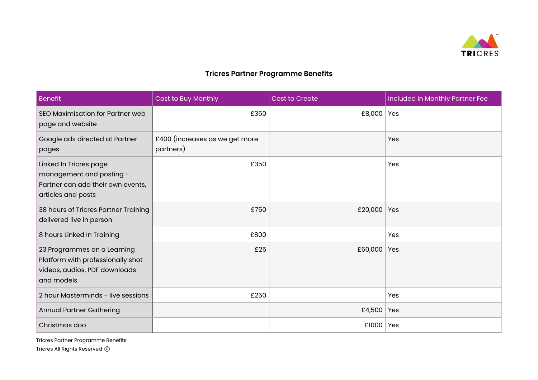

## **Tricres Partner Programme Benefits**

| Benefit                                                                                                         | Cost to Buy Monthly                         | <b>Cost to Create</b> | Included in Monthly Partner Fee |
|-----------------------------------------------------------------------------------------------------------------|---------------------------------------------|-----------------------|---------------------------------|
| SEO Maximisation for Partner web<br>page and website                                                            | £350                                        | £8,000                | Yes                             |
| Google ads directed at Partner<br>pages                                                                         | £400 (increases as we get more<br>partners) |                       | Yes                             |
| Linked In Tricres page<br>management and posting -<br>Partner can add their own events,<br>articles and posts   | £350                                        |                       | Yes                             |
| 38 hours of Tricres Partner Training<br>delivered live in person                                                | £750                                        | £20,000               | Yes                             |
| 8 hours Linked In Training                                                                                      | £800                                        |                       | Yes                             |
| 23 Programmes on a Learning<br>Platform with professionally shot<br>videos, audios, PDF downloads<br>and models | £25                                         | £60,000               | Yes                             |
| 2 hour Masterminds - live sessions                                                                              | £250                                        |                       | Yes                             |
| <b>Annual Partner Gathering</b>                                                                                 |                                             | £4,500                | Yes                             |
| Christmas doo                                                                                                   |                                             | £1000                 | Yes                             |

Tricres Partner Programme Benefits Tricres All Rights Reserved ©